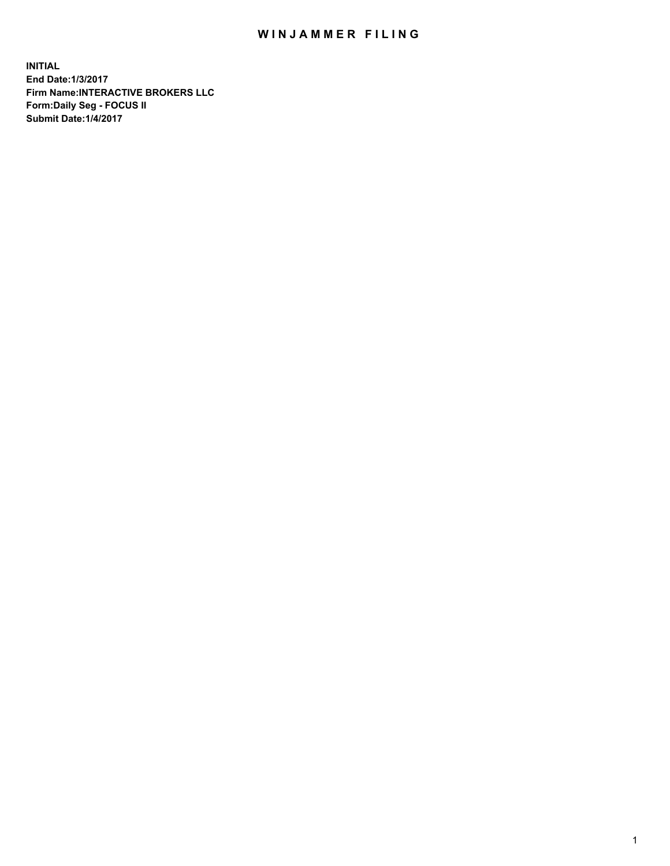## WIN JAMMER FILING

**INITIAL End Date:1/3/2017 Firm Name:INTERACTIVE BROKERS LLC Form:Daily Seg - FOCUS II Submit Date:1/4/2017**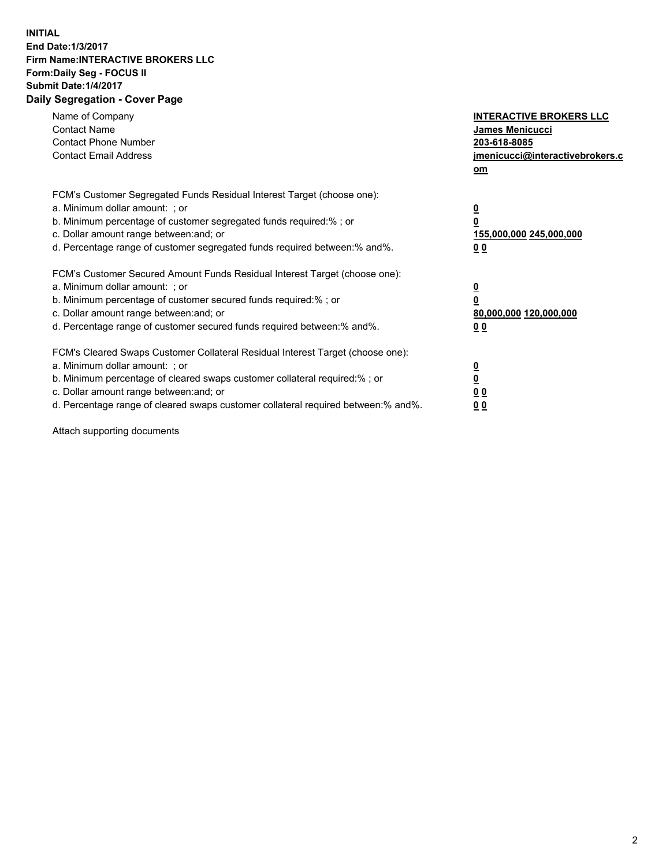## **INITIAL End Date:1/3/2017 Firm Name:INTERACTIVE BROKERS LLC Form:Daily Seg - FOCUS II Submit Date:1/4/2017 Daily Segregation - Cover Page**

| Name of Company<br><b>Contact Name</b><br><b>Contact Phone Number</b><br><b>Contact Email Address</b>                                                                                                                                                                                                                          | <b>INTERACTIVE BROKERS LLC</b><br>James Menicucci<br>203-618-8085<br>jmenicucci@interactivebrokers.c<br>om |
|--------------------------------------------------------------------------------------------------------------------------------------------------------------------------------------------------------------------------------------------------------------------------------------------------------------------------------|------------------------------------------------------------------------------------------------------------|
| FCM's Customer Segregated Funds Residual Interest Target (choose one):<br>a. Minimum dollar amount: ; or<br>b. Minimum percentage of customer segregated funds required:% ; or<br>c. Dollar amount range between: and; or<br>d. Percentage range of customer segregated funds required between:% and%.                         | $\overline{\mathbf{0}}$<br>0<br>155,000,000 245,000,000<br>0 <sub>0</sub>                                  |
| FCM's Customer Secured Amount Funds Residual Interest Target (choose one):<br>a. Minimum dollar amount: ; or<br>b. Minimum percentage of customer secured funds required:%; or<br>c. Dollar amount range between: and; or<br>d. Percentage range of customer secured funds required between: % and %.                          | $\overline{\mathbf{0}}$<br>0<br>80,000,000 120,000,000<br>0 <sub>0</sub>                                   |
| FCM's Cleared Swaps Customer Collateral Residual Interest Target (choose one):<br>a. Minimum dollar amount: ; or<br>b. Minimum percentage of cleared swaps customer collateral required:% ; or<br>c. Dollar amount range between: and; or<br>d. Percentage range of cleared swaps customer collateral required between:% and%. | $\overline{\mathbf{0}}$<br>$\overline{\mathbf{0}}$<br>0 <sub>0</sub><br>0 <sub>0</sub>                     |

Attach supporting documents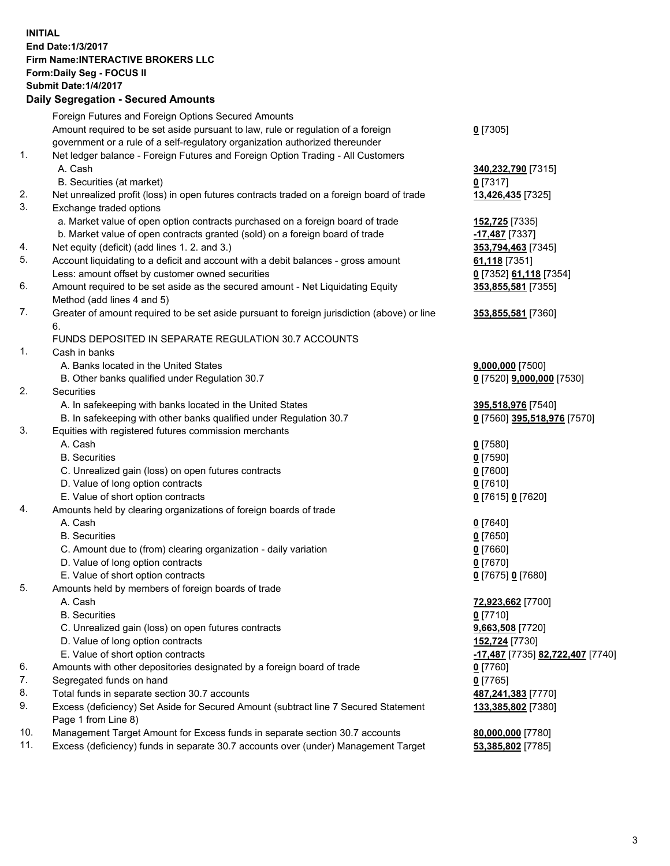## **INITIAL End Date:1/3/2017 Firm Name:INTERACTIVE BROKERS LLC Form:Daily Seg - FOCUS II Submit Date:1/4/2017 Daily Segregation - Secured Amounts**

|     | Pany Obgrogation Obbarba / 11110ani                                                                        |                                  |
|-----|------------------------------------------------------------------------------------------------------------|----------------------------------|
|     | Foreign Futures and Foreign Options Secured Amounts                                                        |                                  |
|     | Amount required to be set aside pursuant to law, rule or regulation of a foreign                           | $0$ [7305]                       |
|     | government or a rule of a self-regulatory organization authorized thereunder                               |                                  |
| 1.  | Net ledger balance - Foreign Futures and Foreign Option Trading - All Customers                            |                                  |
|     | A. Cash                                                                                                    | 340,232,790 [7315]               |
|     | B. Securities (at market)                                                                                  | $0$ [7317]                       |
| 2.  | Net unrealized profit (loss) in open futures contracts traded on a foreign board of trade                  | 13,426,435 [7325]                |
| 3.  | Exchange traded options                                                                                    |                                  |
|     | a. Market value of open option contracts purchased on a foreign board of trade                             | 152,725 [7335]                   |
|     | b. Market value of open contracts granted (sold) on a foreign board of trade                               | -17,487 [7337]                   |
| 4.  | Net equity (deficit) (add lines 1.2. and 3.)                                                               | 353,794,463 [7345]               |
| 5.  | Account liquidating to a deficit and account with a debit balances - gross amount                          | 61,118 [7351]                    |
|     | Less: amount offset by customer owned securities                                                           | 0 [7352] 61,118 [7354]           |
| 6.  | Amount required to be set aside as the secured amount - Net Liquidating Equity                             | 353,855,581 [7355]               |
|     | Method (add lines 4 and 5)                                                                                 |                                  |
| 7.  | Greater of amount required to be set aside pursuant to foreign jurisdiction (above) or line                | 353,855,581 [7360]               |
|     | 6.                                                                                                         |                                  |
|     | FUNDS DEPOSITED IN SEPARATE REGULATION 30.7 ACCOUNTS                                                       |                                  |
| 1.  | Cash in banks                                                                                              |                                  |
|     | A. Banks located in the United States                                                                      | $9,000,000$ [7500]               |
|     | B. Other banks qualified under Regulation 30.7                                                             | 0 [7520] 9,000,000 [7530]        |
| 2.  | Securities                                                                                                 |                                  |
|     | A. In safekeeping with banks located in the United States                                                  | 395,518,976 [7540]               |
|     | B. In safekeeping with other banks qualified under Regulation 30.7                                         | 0 [7560] 395,518,976 [7570]      |
| 3.  | Equities with registered futures commission merchants                                                      |                                  |
|     | A. Cash                                                                                                    | $0$ [7580]                       |
|     | <b>B.</b> Securities                                                                                       | $0$ [7590]                       |
|     | C. Unrealized gain (loss) on open futures contracts                                                        | $0$ [7600]                       |
|     | D. Value of long option contracts                                                                          | $0$ [7610]                       |
|     | E. Value of short option contracts                                                                         | 0 [7615] 0 [7620]                |
| 4.  | Amounts held by clearing organizations of foreign boards of trade                                          |                                  |
|     | A. Cash                                                                                                    | $0$ [7640]                       |
|     | <b>B.</b> Securities                                                                                       | $0$ [7650]                       |
|     | C. Amount due to (from) clearing organization - daily variation                                            | $0$ [7660]                       |
|     | D. Value of long option contracts                                                                          | $0$ [7670]                       |
|     | E. Value of short option contracts                                                                         | 0 [7675] 0 [7680]                |
| 5.  | Amounts held by members of foreign boards of trade                                                         |                                  |
|     | A. Cash                                                                                                    | 72,923,662 [7700]                |
|     | <b>B.</b> Securities                                                                                       | $0$ [7710]                       |
|     | C. Unrealized gain (loss) on open futures contracts                                                        | 9,663,508 [7720]                 |
|     | D. Value of long option contracts                                                                          | 152,724 [7730]                   |
|     | E. Value of short option contracts                                                                         | -17,487 [7735] 82,722,407 [7740] |
| 6.  | Amounts with other depositories designated by a foreign board of trade                                     | 0 [7760]                         |
| 7.  | Segregated funds on hand                                                                                   | $0$ [7765]                       |
| 8.  | Total funds in separate section 30.7 accounts                                                              | 487,241,383 [7770]               |
| 9.  | Excess (deficiency) Set Aside for Secured Amount (subtract line 7 Secured Statement<br>Page 1 from Line 8) | 133,385,802 [7380]               |
| 10. | Management Target Amount for Excess funds in separate section 30.7 accounts                                | 80,000,000 [7780]                |
| 11. | Excess (deficiency) funds in separate 30.7 accounts over (under) Management Target                         | 53,385,802 [7785]                |
|     |                                                                                                            |                                  |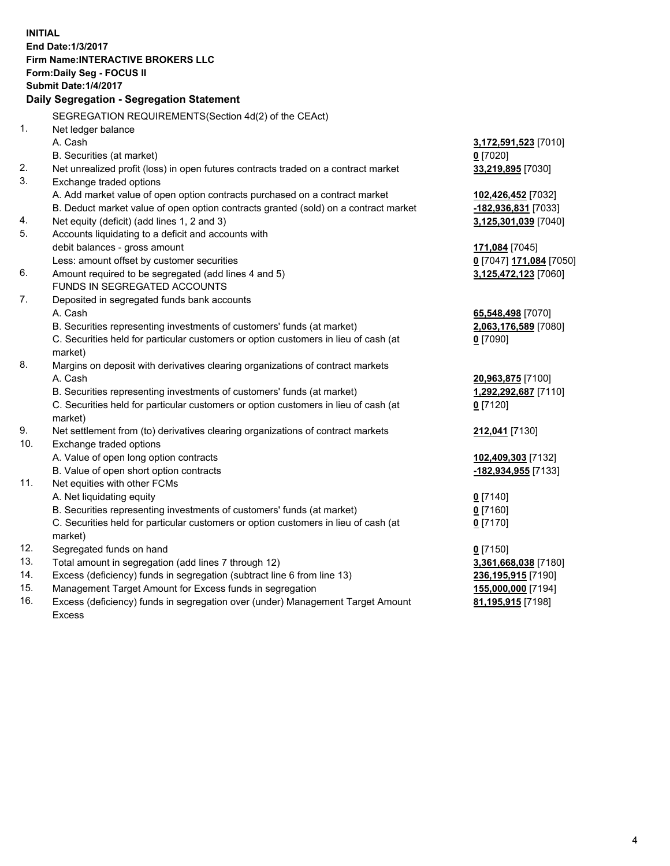**INITIAL End Date:1/3/2017 Firm Name:INTERACTIVE BROKERS LLC Form:Daily Seg - FOCUS II Submit Date:1/4/2017 Daily Segregation - Segregation Statement** SEGREGATION REQUIREMENTS(Section 4d(2) of the CEAct) 1. Net ledger balance A. Cash **3,172,591,523** [7010] B. Securities (at market) **0** [7020] 2. Net unrealized profit (loss) in open futures contracts traded on a contract market **33,219,895** [7030] 3. Exchange traded options A. Add market value of open option contracts purchased on a contract market **102,426,452** [7032] B. Deduct market value of open option contracts granted (sold) on a contract market **-182,936,831** [7033] 4. Net equity (deficit) (add lines 1, 2 and 3) **3,125,301,039** [7040] 5. Accounts liquidating to a deficit and accounts with debit balances - gross amount **171,084** [7045] Less: amount offset by customer securities **0** [7047] **171,084** [7050] 6. Amount required to be segregated (add lines 4 and 5) **3,125,472,123** [7060] FUNDS IN SEGREGATED ACCOUNTS 7. Deposited in segregated funds bank accounts A. Cash **65,548,498** [7070] B. Securities representing investments of customers' funds (at market) **2,063,176,589** [7080] C. Securities held for particular customers or option customers in lieu of cash (at market) **0** [7090] 8. Margins on deposit with derivatives clearing organizations of contract markets A. Cash **20,963,875** [7100] B. Securities representing investments of customers' funds (at market) **1,292,292,687** [7110] C. Securities held for particular customers or option customers in lieu of cash (at market) **0** [7120] 9. Net settlement from (to) derivatives clearing organizations of contract markets **212,041** [7130] 10. Exchange traded options A. Value of open long option contracts **102,409,303** [7132] B. Value of open short option contracts **-182,934,955** [7133] 11. Net equities with other FCMs A. Net liquidating equity **0** [7140] B. Securities representing investments of customers' funds (at market) **0** [7160] C. Securities held for particular customers or option customers in lieu of cash (at market) **0** [7170] 12. Segregated funds on hand **0** [7150] 13. Total amount in segregation (add lines 7 through 12) **3,361,668,038** [7180] 14. Excess (deficiency) funds in segregation (subtract line 6 from line 13) **236,195,915** [7190] 15. Management Target Amount for Excess funds in segregation **155,000,000** [7194] **81,195,915** [7198]

16. Excess (deficiency) funds in segregation over (under) Management Target Amount Excess